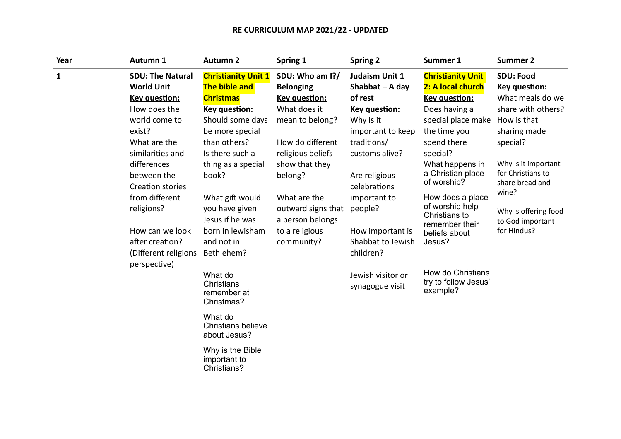## **RE CURRICULUM MAP 2021/22 - UPDATED**

| Year         | Autumn 1                | <b>Autumn 2</b>                                 | Spring 1             | <b>Spring 2</b>   | Summer 1                                  | <b>Summer 2</b>          |
|--------------|-------------------------|-------------------------------------------------|----------------------|-------------------|-------------------------------------------|--------------------------|
| $\mathbf{1}$ | <b>SDU: The Natural</b> | <b>Christianity Unit 1</b>                      | SDU: Who am I?/      | Judaism Unit 1    | <b>Christianity Unit</b>                  | <b>SDU: Food</b>         |
|              | <b>World Unit</b>       | The bible and                                   | <b>Belonging</b>     | Shabbat $-$ A day | 2: A local church                         | Key question:            |
|              | <b>Key question:</b>    | <b>Christmas</b>                                | <b>Key question:</b> | of rest           | <b>Key question:</b>                      | What meals do we         |
|              | How does the            | Key question:                                   | What does it         | Key question:     | Does having a                             | share with others?       |
|              | world come to           | Should some days                                | mean to belong?      | Why is it         | special place make                        | How is that              |
|              | exist?                  | be more special                                 |                      | important to keep | the time you                              | sharing made             |
|              | What are the            | than others?                                    | How do different     | traditions/       | spend there                               | special?                 |
|              | similarities and        | Is there such a                                 | religious beliefs    | customs alive?    | special?                                  |                          |
|              | differences             | thing as a special                              | show that they       |                   | What happens in                           | Why is it important      |
|              | between the             | book?                                           | belong?              | Are religious     | a Christian place                         | for Christians to        |
|              | Creation stories        |                                                 |                      | celebrations      | of worship?                               | share bread and<br>wine? |
|              | from different          | What gift would                                 | What are the         | important to      | How does a place                          |                          |
|              | religions?              | you have given                                  | outward signs that   | people?           | of worship help                           | Why is offering food     |
|              |                         | Jesus if he was                                 | a person belongs     |                   | Christians to<br>remember their           | to God important         |
|              | How can we look         | born in lewisham                                | to a religious       | How important is  | beliefs about                             | for Hindus?              |
|              | after creation?         | and not in                                      | community?           | Shabbat to Jewish | Jesus?                                    |                          |
|              | (Different religions    | Bethlehem?                                      |                      | children?         |                                           |                          |
|              | perspective)            |                                                 |                      |                   |                                           |                          |
|              |                         | What do                                         |                      | Jewish visitor or | How do Christians<br>try to follow Jesus' |                          |
|              |                         | Christians<br>remember at                       |                      | synagogue visit   | example?                                  |                          |
|              |                         | Christmas?                                      |                      |                   |                                           |                          |
|              |                         | What do                                         |                      |                   |                                           |                          |
|              |                         | <b>Christians believe</b><br>about Jesus?       |                      |                   |                                           |                          |
|              |                         |                                                 |                      |                   |                                           |                          |
|              |                         | Why is the Bible<br>important to<br>Christians? |                      |                   |                                           |                          |
|              |                         |                                                 |                      |                   |                                           |                          |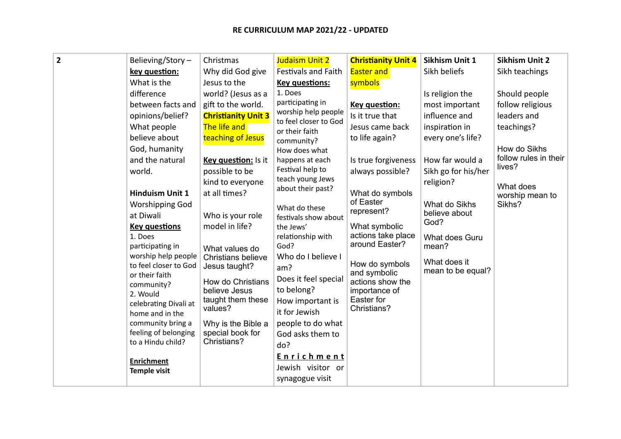| $\overline{2}$ | Believing/Story-<br>key question:<br>What is the<br>difference<br>between facts and<br>opinions/belief?<br>What people<br>believe about<br>God, humanity<br>and the natural<br>world.<br><b>Hinduism Unit 1</b><br><b>Worshipping God</b><br>at Diwali<br><b>Key questions</b><br>1. Does<br>participating in<br>worship help people<br>to feel closer to God<br>or their faith<br>community?<br>2. Would<br>celebrating Divali at<br>home and in the<br>community bring a<br>feeling of belonging<br>to a Hindu child? | Christmas<br>Why did God give<br>Jesus to the<br>world? (Jesus as a<br>gift to the world.<br><b>Christianity Unit 3</b><br>The life and<br>teaching of Jesus<br>Key question: Is it<br>possible to be<br>kind to everyone<br>at all times?<br>Who is your role<br>model in life?<br>What values do<br><b>Christians believe</b><br>Jesus taught?<br>How do Christians<br>believe Jesus<br>taught them these<br>values?<br>Why is the Bible a<br>special book for<br>Christians? | Judaism Unit 2<br><b>Festivals and Faith</b><br><b>Key questions:</b><br>1. Does<br>participating in<br>worship help people<br>to feel closer to God<br>or their faith<br>community?<br>How does what<br>happens at each<br>Festival help to<br>teach young Jews<br>about their past?<br>What do these<br>festivals show about<br>the Jews'<br>relationship with<br>God?<br>Who do I believe I<br>am?<br>Does it feel special<br>to belong?<br>How important is<br>it for Jewish<br>people to do what<br>God asks them to<br>do? | <b>Christianity Unit 4</b><br><b>Easter and</b><br>symbols<br>Key question:<br>Is it true that<br>Jesus came back<br>to life again?<br>Is true forgiveness<br>always possible?<br>What do symbols<br>of Easter<br>represent?<br>What symbolic<br>actions take place<br>around Easter?<br>How do symbols<br>and symbolic<br>actions show the<br>importance of<br>Easter for<br>Christians? | Sikhism Unit 1<br>Sikh beliefs<br>Is religion the<br>most important<br>influence and<br>inspiration in<br>every one's life?<br>How far would a<br>Sikh go for his/her<br>religion?<br>What do Sikhs<br>believe about<br>God?<br>What does Guru<br>mean?<br>What does it<br>mean to be equal? | Sikhism Unit 2<br>Sikh teachings<br>Should people<br>follow religious<br>leaders and<br>teachings?<br>How do Sikhs<br>follow rules in their<br>lives?<br>What does<br>worship mean to<br>Sikhs? |
|----------------|-------------------------------------------------------------------------------------------------------------------------------------------------------------------------------------------------------------------------------------------------------------------------------------------------------------------------------------------------------------------------------------------------------------------------------------------------------------------------------------------------------------------------|---------------------------------------------------------------------------------------------------------------------------------------------------------------------------------------------------------------------------------------------------------------------------------------------------------------------------------------------------------------------------------------------------------------------------------------------------------------------------------|----------------------------------------------------------------------------------------------------------------------------------------------------------------------------------------------------------------------------------------------------------------------------------------------------------------------------------------------------------------------------------------------------------------------------------------------------------------------------------------------------------------------------------|-------------------------------------------------------------------------------------------------------------------------------------------------------------------------------------------------------------------------------------------------------------------------------------------------------------------------------------------------------------------------------------------|----------------------------------------------------------------------------------------------------------------------------------------------------------------------------------------------------------------------------------------------------------------------------------------------|-------------------------------------------------------------------------------------------------------------------------------------------------------------------------------------------------|
|                | <b>Enrichment</b><br><b>Temple visit</b>                                                                                                                                                                                                                                                                                                                                                                                                                                                                                |                                                                                                                                                                                                                                                                                                                                                                                                                                                                                 | <b>Enrichment</b><br>Jewish visitor or<br>synagogue visit                                                                                                                                                                                                                                                                                                                                                                                                                                                                        |                                                                                                                                                                                                                                                                                                                                                                                           |                                                                                                                                                                                                                                                                                              |                                                                                                                                                                                                 |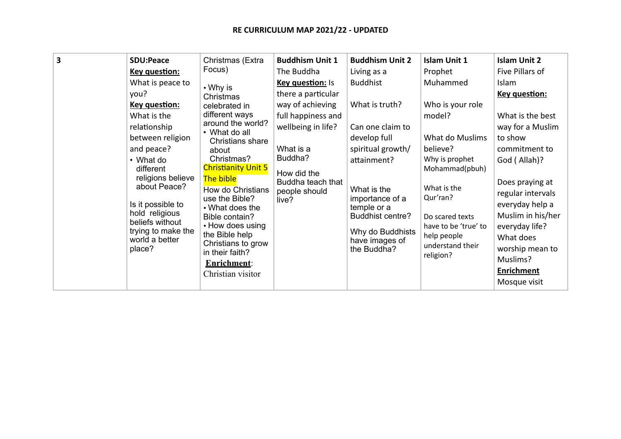| 3 | <b>SDU:Peace</b><br>Key question:<br>What is peace to<br>you?<br>Key question:<br>What is the<br>relationship<br>between religion<br>and peace?<br>• What do<br>different<br>religions believe<br>about Peace?<br>Is it possible to<br>hold religious<br>beliefs without<br>trying to make the<br>world a better<br>place? | Christmas (Extra<br>Focus)<br>• Why is<br>Christmas<br>celebrated in<br>different ways<br>around the world?<br>• What do all<br>Christians share<br>about<br>Christmas?<br><b>Christianity Unit 5</b><br>The bible<br>How do Christians<br>use the Bible?<br>• What does the<br>Bible contain?<br>• How does using<br>the Bible help<br>Christians to grow<br>in their faith?<br><b>Enrichment:</b><br>Christian visitor | <b>Buddhism Unit 1</b><br>The Buddha<br>Key question: Is<br>there a particular<br>way of achieving<br>full happiness and<br>wellbeing in life?<br>What is a<br>Buddha?<br>How did the<br>Buddha teach that<br>people should<br>live? | <b>Buddhism Unit 2</b><br>Living as a<br><b>Buddhist</b><br>What is truth?<br>Can one claim to<br>develop full<br>spiritual growth/<br>attainment?<br>What is the<br>importance of a<br>temple or a<br><b>Buddhist centre?</b><br>Why do Buddhists<br>have images of<br>the Buddha? | <b>Islam Unit 1</b><br>Prophet<br>Muhammed<br>Who is your role<br>model?<br>What do Muslims<br>believe?<br>Why is prophet<br>Mohammad(pbuh)<br>What is the<br>Qur'ran?<br>Do scared texts<br>have to be 'true' to<br>help people<br>understand their<br>religion? | <b>Islam Unit 2</b><br>Five Pillars of<br>Islam<br>Key question:<br>What is the best<br>way for a Muslim<br>to show<br>commitment to<br>God (Allah)?<br>Does praying at<br>regular intervals<br>everyday help a<br>Muslim in his/her<br>everyday life?<br>What does<br>worship mean to<br>Muslims?<br><b>Enrichment</b><br>Mosque visit |
|---|----------------------------------------------------------------------------------------------------------------------------------------------------------------------------------------------------------------------------------------------------------------------------------------------------------------------------|--------------------------------------------------------------------------------------------------------------------------------------------------------------------------------------------------------------------------------------------------------------------------------------------------------------------------------------------------------------------------------------------------------------------------|--------------------------------------------------------------------------------------------------------------------------------------------------------------------------------------------------------------------------------------|-------------------------------------------------------------------------------------------------------------------------------------------------------------------------------------------------------------------------------------------------------------------------------------|-------------------------------------------------------------------------------------------------------------------------------------------------------------------------------------------------------------------------------------------------------------------|-----------------------------------------------------------------------------------------------------------------------------------------------------------------------------------------------------------------------------------------------------------------------------------------------------------------------------------------|
|---|----------------------------------------------------------------------------------------------------------------------------------------------------------------------------------------------------------------------------------------------------------------------------------------------------------------------------|--------------------------------------------------------------------------------------------------------------------------------------------------------------------------------------------------------------------------------------------------------------------------------------------------------------------------------------------------------------------------------------------------------------------------|--------------------------------------------------------------------------------------------------------------------------------------------------------------------------------------------------------------------------------------|-------------------------------------------------------------------------------------------------------------------------------------------------------------------------------------------------------------------------------------------------------------------------------------|-------------------------------------------------------------------------------------------------------------------------------------------------------------------------------------------------------------------------------------------------------------------|-----------------------------------------------------------------------------------------------------------------------------------------------------------------------------------------------------------------------------------------------------------------------------------------------------------------------------------------|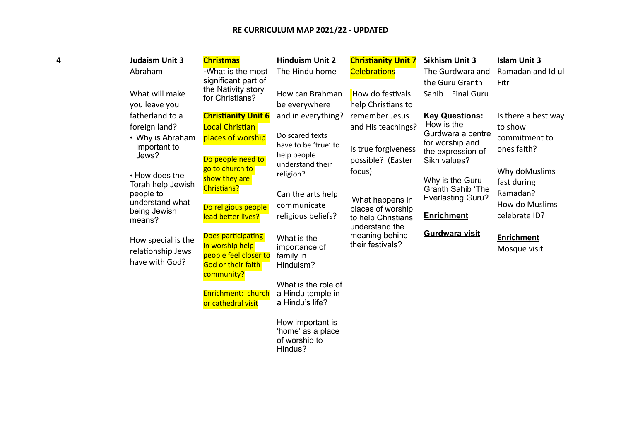## **RE CURRICULUM MAP 2021/22 - UPDATED**

| $\overline{\mathbf{4}}$ | <b>Judaism Unit 3</b><br>Abraham                                                                                                                                                                                                            | <b>Christmas</b><br>-What is the most                                                                                                                                                                                                                                                                                                                   | <b>Hinduism Unit 2</b><br>The Hindu home                                                                                                                                                                                                                                                                                                                              | <b>Christianity Unit 7</b>                                                                                                                                                                                       | <b>Sikhism Unit 3</b>                                                                                                                                                                                                              | <b>Islam Unit 3</b><br>Ramadan and Id ul                                                                                                                                           |
|-------------------------|---------------------------------------------------------------------------------------------------------------------------------------------------------------------------------------------------------------------------------------------|---------------------------------------------------------------------------------------------------------------------------------------------------------------------------------------------------------------------------------------------------------------------------------------------------------------------------------------------------------|-----------------------------------------------------------------------------------------------------------------------------------------------------------------------------------------------------------------------------------------------------------------------------------------------------------------------------------------------------------------------|------------------------------------------------------------------------------------------------------------------------------------------------------------------------------------------------------------------|------------------------------------------------------------------------------------------------------------------------------------------------------------------------------------------------------------------------------------|------------------------------------------------------------------------------------------------------------------------------------------------------------------------------------|
|                         |                                                                                                                                                                                                                                             | significant part of                                                                                                                                                                                                                                                                                                                                     |                                                                                                                                                                                                                                                                                                                                                                       | <b>Celebrations</b>                                                                                                                                                                                              | The Gurdwara and<br>the Guru Granth                                                                                                                                                                                                | Fitr                                                                                                                                                                               |
|                         | What will make<br>you leave you                                                                                                                                                                                                             | the Nativity story<br>for Christians?                                                                                                                                                                                                                                                                                                                   | How can Brahman<br>be everywhere                                                                                                                                                                                                                                                                                                                                      | How do festivals<br>help Christians to                                                                                                                                                                           | Sahib - Final Guru                                                                                                                                                                                                                 |                                                                                                                                                                                    |
|                         | fatherland to a<br>foreign land?<br>• Why is Abraham<br>important to<br>Jews?<br>• How does the<br>Torah help Jewish<br>people to<br>understand what<br>being Jewish<br>means?<br>How special is the<br>relationship Jews<br>have with God? | <b>Christianity Unit 6</b><br>Local Christian<br>places of worship<br>Do people need to<br>go to church to<br>show they are<br><b>Christians?</b><br>Do religious people<br>lead better lives?<br>Does participating<br>in worship help<br>people feel closer to<br><b>God or their faith</b><br>community?<br>Enrichment: church<br>or cathedral visit | and in everything?<br>Do scared texts<br>have to be 'true' to<br>help people<br>understand their<br>religion?<br>Can the arts help<br>communicate<br>religious beliefs?<br>What is the<br>importance of<br>family in<br>Hinduism?<br>What is the role of<br>a Hindu temple in<br>a Hindu's life?<br>How important is<br>'home' as a place<br>of worship to<br>Hindus? | remember Jesus<br>and His teachings?<br>Is true forgiveness<br>possible? (Easter<br>focus)<br>What happens in<br>places of worship<br>to help Christians<br>understand the<br>meaning behind<br>their festivals? | <b>Key Questions:</b><br>How is the<br>Gurdwara a centre<br>for worship and<br>the expression of<br>Sikh values?<br>Why is the Guru<br><b>Granth Sahib 'The</b><br><b>Everlasting Guru?</b><br><b>Enrichment</b><br>Gurdwara visit | Is there a best way<br>to show<br>commitment to<br>ones faith?<br>Why doMuslims<br>fast during<br>Ramadan?<br>How do Muslims<br>celebrate ID?<br><b>Enrichment</b><br>Mosque visit |
|                         |                                                                                                                                                                                                                                             |                                                                                                                                                                                                                                                                                                                                                         |                                                                                                                                                                                                                                                                                                                                                                       |                                                                                                                                                                                                                  |                                                                                                                                                                                                                                    |                                                                                                                                                                                    |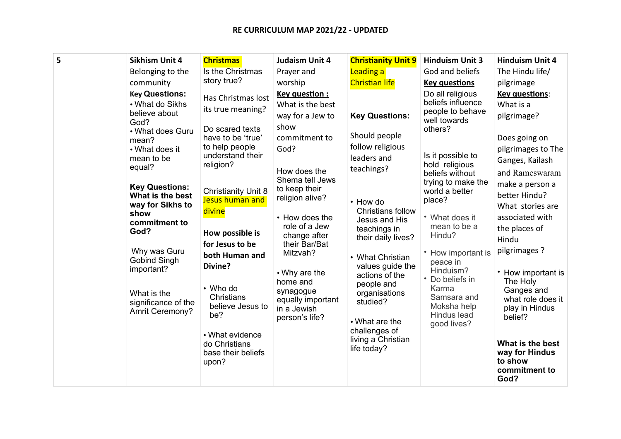| 5<br>Sikhism Unit 4    | <b>Christmas</b>               | <b>Judaism Unit 4</b>            | <b>Christianity Unit 9</b>                | <b>Hinduism Unit 3</b>                | <b>Hinduism Unit 4</b>    |
|------------------------|--------------------------------|----------------------------------|-------------------------------------------|---------------------------------------|---------------------------|
| Belonging to the       | Is the Christmas               | Prayer and                       | Leading a                                 | God and beliefs                       | The Hindu life/           |
| community              | story true?                    | worship                          | <b>Christian life</b>                     | <b>Key questions</b>                  | pilgrimage                |
| <b>Key Questions:</b>  | Has Christmas lost             | Key question:                    |                                           | Do all religious                      | Key questions:            |
| • What do Sikhs        | its true meaning?              | What is the best                 |                                           | beliefs influence<br>people to behave | What is a                 |
| believe about<br>God?  |                                | way for a Jew to                 | <b>Key Questions:</b>                     | well towards                          | pilgrimage?               |
| • What does Guru       | Do scared texts                | show                             |                                           | others?                               |                           |
| mean?                  | have to be 'true'              | commitment to                    | Should people                             |                                       | Does going on             |
| • What does it         | to help people                 | God?                             | follow religious                          |                                       | pilgrimages to The        |
| mean to be             | understand their<br>religion?  |                                  | leaders and                               | Is it possible to<br>hold religious   | Ganges, Kailash           |
| equal?                 |                                | How does the                     | teachings?                                | beliefs without                       | and Rameswaram            |
| <b>Key Questions:</b>  |                                | Shema tell Jews                  |                                           | trying to make the                    | make a person a           |
| What is the best       | <b>Christianity Unit 8</b>     | to keep their<br>religion alive? |                                           | world a better                        | better Hindu?             |
| way for Sikhs to       | Jesus human and                |                                  | • How do                                  | place?                                | What stories are          |
| show                   | divine                         | • How does the                   | <b>Christians follow</b><br>Jesus and His | • What does it                        | associated with           |
| commitment to<br>God?  |                                | role of a Jew                    | teachings in                              | mean to be a                          | the places of             |
|                        | How possible is                | change after                     | their daily lives?                        | Hindu?                                | Hindu                     |
| Why was Guru           | for Jesus to be                | their Bar/Bat<br>Mitzvah?        |                                           | • How important is                    | pilgrimages ?             |
| <b>Gobind Singh</b>    | both Human and                 |                                  | • What Christian                          | peace in                              |                           |
| important?             | Divine?                        | • Why are the                    | values guide the                          | Hinduism?                             | • How important is        |
|                        |                                | home and                         | actions of the<br>people and              | • Do beliefs in                       | The Holy                  |
| What is the            | • Who do                       | synagogue                        | organisations                             | Karma                                 | Ganges and                |
| significance of the    | Christians<br>believe Jesus to | equally important                | studied?                                  | Samsara and<br>Moksha help            | what role does it         |
| <b>Amrit Ceremony?</b> | be?                            | in a Jewish<br>person's life?    |                                           | Hindus lead                           | play in Hindus<br>belief? |
|                        |                                |                                  | $\cdot$ What are the                      | good lives?                           |                           |
|                        | • What evidence                |                                  | challenges of                             |                                       |                           |
|                        | do Christians                  |                                  | living a Christian<br>life today?         |                                       | What is the best          |
|                        | base their beliefs             |                                  |                                           |                                       | way for Hindus<br>to show |
|                        | upon?                          |                                  |                                           |                                       | commitment to             |
|                        |                                |                                  |                                           |                                       | God?                      |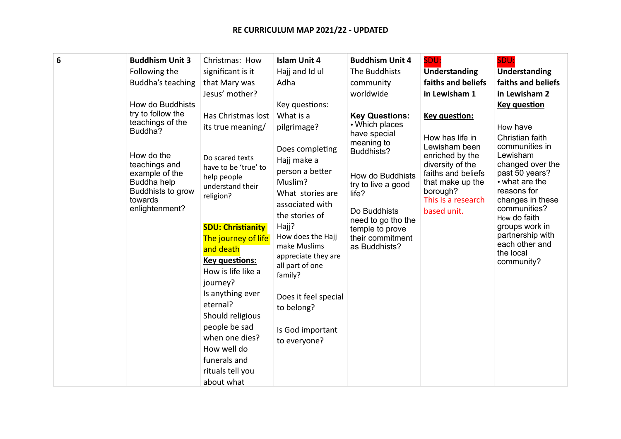| 6 | <b>Buddhism Unit 3</b><br>Following the<br>Buddha's teaching<br>How do Buddhists<br>try to follow the<br>teachings of the<br>Buddha?<br>How do the<br>teachings and<br>example of the<br>Buddha help<br>Buddhists to grow<br>towards<br>enlightenment? | Christmas: How<br>significant is it<br>that Mary was<br>Jesus' mother?<br>Has Christmas lost<br>its true meaning/<br>Do scared texts<br>have to be 'true' to<br>help people<br>understand their<br>religion?<br><b>SDU: Christianity</b><br>The journey of life<br>and death<br><b>Key questions:</b><br>How is life like a<br>journey? | <b>Islam Unit 4</b><br>Hajj and Id ul<br>Adha<br>Key questions:<br>What is a<br>pilgrimage?<br>Does completing<br>Hajj make a<br>person a better<br>Muslim?<br>What stories are<br>associated with<br>the stories of<br>Hajj?<br>How does the Hajj<br>make Muslims<br>appreciate they are<br>all part of one<br>family? | <b>Buddhism Unit 4</b><br>The Buddhists<br>community<br>worldwide<br><b>Key Questions:</b><br>• Which places<br>have special<br>meaning to<br>Buddhists?<br>How do Buddhists<br>try to live a good<br>life?<br>Do Buddhists<br>need to go tho the<br>temple to prove<br>their commitment<br>as Buddhists? | SDU:<br>Understanding<br>faiths and beliefs<br>in Lewisham 1<br><b>Key question:</b><br>How has life in<br>Lewisham been<br>enriched by the<br>diversity of the<br>faiths and beliefs<br>that make up the<br>borough?<br>This is a research<br>based unit. | SDU:<br><b>Understanding</b><br>faiths and beliefs<br>in Lewisham 2<br><b>Key question</b><br>How have<br>Christian faith<br>communities in<br>Lewisham<br>changed over the<br>past 50 years?<br>• what are the<br>reasons for<br>changes in these<br>communities?<br>How do faith<br>groups work in<br>partnership with<br>each other and<br>the local<br>community? |
|---|--------------------------------------------------------------------------------------------------------------------------------------------------------------------------------------------------------------------------------------------------------|-----------------------------------------------------------------------------------------------------------------------------------------------------------------------------------------------------------------------------------------------------------------------------------------------------------------------------------------|-------------------------------------------------------------------------------------------------------------------------------------------------------------------------------------------------------------------------------------------------------------------------------------------------------------------------|-----------------------------------------------------------------------------------------------------------------------------------------------------------------------------------------------------------------------------------------------------------------------------------------------------------|------------------------------------------------------------------------------------------------------------------------------------------------------------------------------------------------------------------------------------------------------------|-----------------------------------------------------------------------------------------------------------------------------------------------------------------------------------------------------------------------------------------------------------------------------------------------------------------------------------------------------------------------|
|   | Is anything ever<br>eternal?<br>Should religious<br>people be sad<br>when one dies?<br>How well do<br>funerals and                                                                                                                                     | Does it feel special<br>to belong?<br>Is God important<br>to everyone?                                                                                                                                                                                                                                                                  |                                                                                                                                                                                                                                                                                                                         |                                                                                                                                                                                                                                                                                                           |                                                                                                                                                                                                                                                            |                                                                                                                                                                                                                                                                                                                                                                       |
|   |                                                                                                                                                                                                                                                        | rituals tell you<br>about what                                                                                                                                                                                                                                                                                                          |                                                                                                                                                                                                                                                                                                                         |                                                                                                                                                                                                                                                                                                           |                                                                                                                                                                                                                                                            |                                                                                                                                                                                                                                                                                                                                                                       |